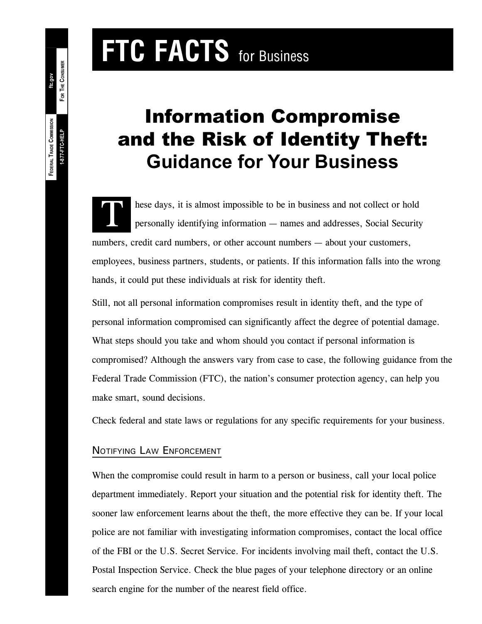# **FTC FACTS** for Business

# Information Compromise and the Risk of Identity Theft: **Guidance for Your Business**

These days, it is almost impossible to be in business and not collect or hold<br>personally identifying information — names and addresses, Social Security numbers, credit card numbers, or other account numbers — about your customers, employees, business partners, students, or patients. If this information falls into the wrong hands, it could put these individuals at risk for identity theft.

Still, not all personal information compromises result in identity theft, and the type of personal information compromised can significantly affect the degree of potential damage. What steps should you take and whom should you contact if personal information is compromised? Although the answers vary from case to case, the following guidance from the Federal Trade Commission (FTC), the nation's consumer protection agency, can help you make smart, sound decisions.

Check federal and state laws or regulations for any specific requirements for your business.

# NOTIFYING LAW ENFORCEMENT

When the compromise could result in harm to a person or business, call your local police department immediately. Report your situation and the potential risk for identity theft. The sooner law enforcement learns about the theft, the more effective they can be. If your local police are not familiar with investigating information compromises, contact the local office of the FBI or the U.S. Secret Service. For incidents involving mail theft, contact the U.S. Postal Inspection Service. Check the blue pages of your telephone directory or an online search engine for the number of the nearest field office.

**ftc.gov**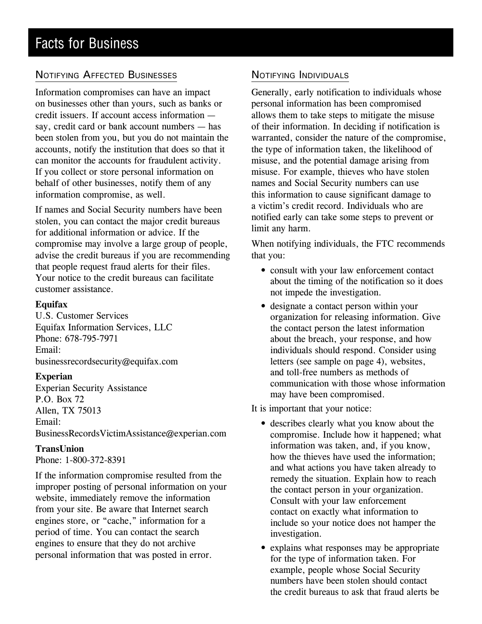# NOTIFYING AFFECTED BUSINESSES

Information compromises can have an impact on businesses other than yours, such as banks or credit issuers. If account access information say, credit card or bank account numbers — has been stolen from you, but you do not maintain the accounts, notify the institution that does so that it can monitor the accounts for fraudulent activity. If you collect or store personal information on behalf of other businesses, notify them of any information compromise, as well.

If names and Social Security numbers have been stolen, you can contact the major credit bureaus for additional information or advice. If the compromise may involve a large group of people, advise the credit bureaus if you are recommending that people request fraud alerts for their files. Your notice to the credit bureaus can facilitate customer assistance.

#### **Equifax**

U.S. Customer Services Equifax Information Services, LLC Phone: 678-795-7971 Email: businessrecordsecurity@equifax.com

#### **Experian**

Experian Security Assistance P.O. Box 72 Allen, TX 75013 Email: BusinessRecordsVictimAssistance@experian.com

#### **TransUnion**

Phone: 1-800-372-8391

If the information compromise resulted from the improper posting of personal information on your website, immediately remove the information from your site. Be aware that Internet search engines store, or "cache," information for a period of time. You can contact the search engines to ensure that they do not archive personal information that was posted in error.

## NOTIFYING INDIVIDUALS

Generally, early notification to individuals whose personal information has been compromised allows them to take steps to mitigate the misuse of their information. In deciding if notification is warranted, consider the nature of the compromise, the type of information taken, the likelihood of misuse, and the potential damage arising from misuse. For example, thieves who have stolen names and Social Security numbers can use this information to cause significant damage to a victim's credit record. Individuals who are notified early can take some steps to prevent or limit any harm.

When notifying individuals, the FTC recommends that you:

- consult with your law enforcement contact about the timing of the notification so it does not impede the investigation.
- designate a contact person within your organization for releasing information. Give the contact person the latest information about the breach, your response, and how individuals should respond. Consider using letters (see sample on page 4), websites, and toll-free numbers as methods of communication with those whose information may have been compromised.

It is important that your notice:

- describes clearly what you know about the compromise. Include how it happened; what information was taken, and, if you know, how the thieves have used the information; and what actions you have taken already to remedy the situation. Explain how to reach the contact person in your organization. Consult with your law enforcement contact on exactly what information to include so your notice does not hamper the investigation.
- explains what responses may be appropriate for the type of information taken. For example, people whose Social Security numbers have been stolen should contact the credit bureaus to ask that fraud alerts be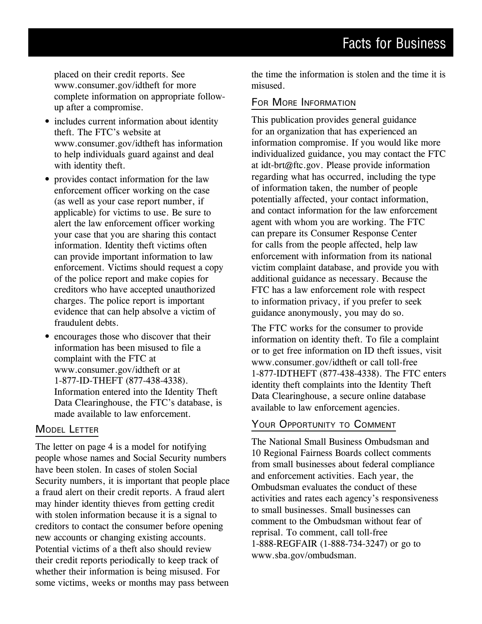placed on their credit reports. See www.consumer.gov/idtheft for more complete information on appropriate followup after a compromise.

- includes current information about identity theft. The FTC's website at www.consumer.gov/idtheft has information to help individuals guard against and deal with identity theft.
- provides contact information for the law enforcement officer working on the case (as well as your case report number, if applicable) for victims to use. Be sure to alert the law enforcement officer working your case that you are sharing this contact information. Identity theft victims often can provide important information to law enforcement. Victims should request a copy of the police report and make copies for creditors who have accepted unauthorized charges. The police report is important evidence that can help absolve a victim of fraudulent debts.
- encourages those who discover that their information has been misused to file a complaint with the FTC at www.consumer.gov/idtheft or at 1-877-ID-THEFT (877-438-4338). Information entered into the Identity Theft Data Clearinghouse, the FTC's database, is made available to law enforcement.

#### MODEL LETTER

The letter on page 4 is a model for notifying people whose names and Social Security numbers have been stolen. In cases of stolen Social Security numbers, it is important that people place a fraud alert on their credit reports. A fraud alert may hinder identity thieves from getting credit with stolen information because it is a signal to creditors to contact the consumer before opening new accounts or changing existing accounts. Potential victims of a theft also should review their credit reports periodically to keep track of whether their information is being misused. For some victims, weeks or months may pass between the time the information is stolen and the time it is misused.

#### FOR MORE INFORMATION

This publication provides general guidance for an organization that has experienced an information compromise. If you would like more individualized guidance, you may contact the FTC at idt-brt@ftc.gov. Please provide information regarding what has occurred, including the type of information taken, the number of people potentially affected, your contact information, and contact information for the law enforcement agent with whom you are working. The FTC can prepare its Consumer Response Center for calls from the people affected, help law enforcement with information from its national victim complaint database, and provide you with additional guidance as necessary. Because the FTC has a law enforcement role with respect to information privacy, if you prefer to seek guidance anonymously, you may do so.

The FTC works for the consumer to provide information on identity theft. To file a complaint or to get free information on ID theft issues, visit www.consumer.gov/idtheft or call toll-free 1-877-IDTHEFT (877-438-4338). The FTC enters identity theft complaints into the Identity Theft Data Clearinghouse, a secure online database available to law enforcement agencies.

### YOUR OPPORTUNITY TO COMMENT

The National Small Business Ombudsman and 10 Regional Fairness Boards collect comments from small businesses about federal compliance and enforcement activities. Each year, the Ombudsman evaluates the conduct of these activities and rates each agency's responsiveness to small businesses. Small businesses can comment to the Ombudsman without fear of reprisal. To comment, call toll-free 1-888-REGFAIR (1-888-734-3247) or go to www.sba.gov/ombudsman.